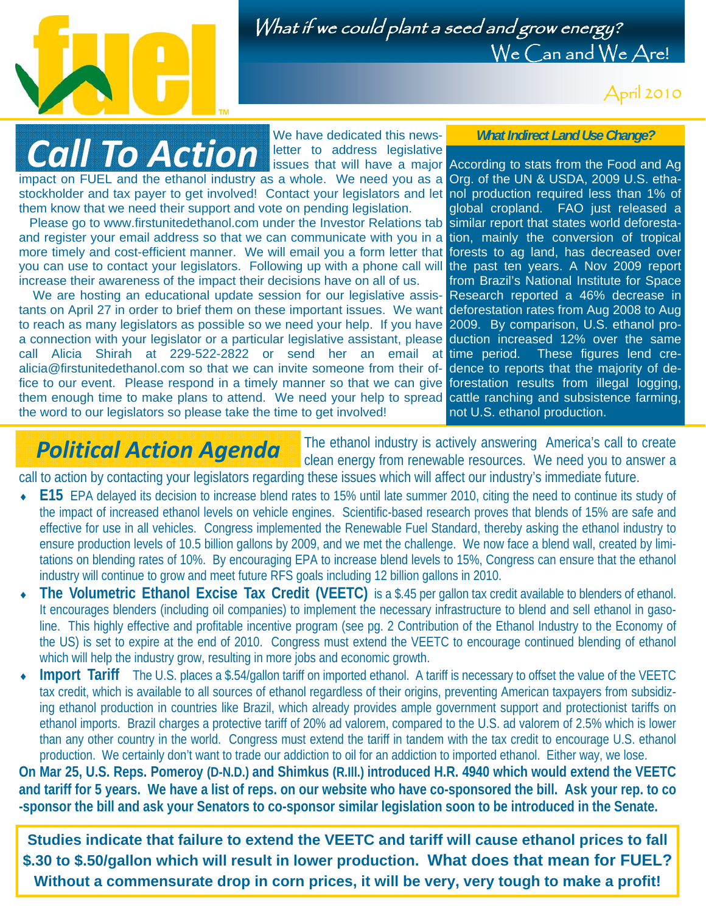

What if we could plant a seed and grow energy? We Can and We Are!

April 2010

# *Call To Action*

We have dedicated this newsletter to address legislative

impact on FUEL and the ethanol industry as a whole. We need you as a Org. of the UN & USDA, 2009 U.S. ethastockholder and tax payer to get involved! Contact your legislators and let nol production required less than 1% of them know that we need their support and vote on pending legislation.

 Please go to www.firstunitedethanol.com under the Investor Relations tab similar report that states world deforestaand register your email address so that we can communicate with you in a tion, mainly the conversion of tropical more timely and cost-efficient manner. We will email you a form letter that forests to ag land, has decreased over you can use to contact your legislators. Following up with a phone call will the past ten years. A Nov 2009 report increase their awareness of the impact their decisions have on all of us.

 We are hosting an educational update session for our legislative assis-Research reported a 46% decrease in tants on April 27 in order to brief them on these important issues. We want deforestation rates from Aug 2008 to Aug to reach as many legislators as possible so we need your help. If you have 2009. By comparison, U.S. ethanol proa connection with your legislator or a particular legislative assistant, please duction increased 12% over the same call Alicia Shirah at 229-522-2822 or send her an email at time period. alicia@firstunitedethanol.com so that we can invite someone from their office to our event. Please respond in a timely manner so that we can give forestation results from illegal logging, them enough time to make plans to attend. We need your help to spread cattle ranching and subsistence farming, the word to our legislators so please take the time to get involved!

*What Indirect Land Use Change?* 

issues that will have a major According to stats from the Food and Ag global cropland. FAO just released a from Brazil's National Institute for Space These figures lend credence to reports that the majority of denot U.S. ethanol production.

### *Political Action Agenda*

The ethanol industry is actively answering America's call to create clean energy from renewable resources. We need you to answer a call to action by contacting your legislators regarding these issues which will affect our industry's immediate future.

- **E15** EPA delayed its decision to increase blend rates to 15% until late summer 2010, citing the need to continue its study of the impact of increased ethanol levels on vehicle engines. Scientific-based research proves that blends of 15% are safe and effective for use in all vehicles. Congress implemented the Renewable Fuel Standard, thereby asking the ethanol industry to ensure production levels of 10.5 billion gallons by 2009, and we met the challenge. We now face a blend wall, created by limitations on blending rates of 10%. By encouraging EPA to increase blend levels to 15%, Congress can ensure that the ethanol industry will continue to grow and meet future RFS goals including 12 billion gallons in 2010.
- **The Volumetric Ethanol Excise Tax Credit (VEETC)** is a \$.45 per gallon tax credit available to blenders of ethanol. It encourages blenders (including oil companies) to implement the necessary infrastructure to blend and sell ethanol in gasoline. This highly effective and profitable incentive program (see pg. 2 Contribution of the Ethanol Industry to the Economy of the US) is set to expire at the end of 2010. Congress must extend the VEETC to encourage continued blending of ethanol which will help the industry grow, resulting in more jobs and economic growth.
- **Import Tariff** The U.S. places a \$.54/gallon tariff on imported ethanol. A tariff is necessary to offset the value of the VEETC tax credit, which is available to all sources of ethanol regardless of their origins, preventing American taxpayers from subsidizing ethanol production in countries like Brazil, which already provides ample government support and protectionist tariffs on ethanol imports. Brazil charges a protective tariff of 20% ad valorem, compared to the U.S. ad valorem of 2.5% which is lower than any other country in the world. Congress must extend the tariff in tandem with the tax credit to encourage U.S. ethanol production. We certainly don't want to trade our addiction to oil for an addiction to imported ethanol. Either way, we lose.

**On Mar 25, U.S. Reps. Pomeroy (D-N.D.) and Shimkus (R.Ill.) introduced H.R. 4940 which would extend the VEETC and tariff for 5 years. We have a list of reps. on our website who have co-sponsored the bill. Ask your rep. to co -sponsor the bill and ask your Senators to co-sponsor similar legislation soon to be introduced in the Senate.** 

**Studies indicate that failure to extend the VEETC and tariff will cause ethanol prices to fall \$.30 to \$.50/gallon which will result in lower production. What does that mean for FUEL? Without a commensurate drop in corn prices, it will be very, very tough to make a profit!**